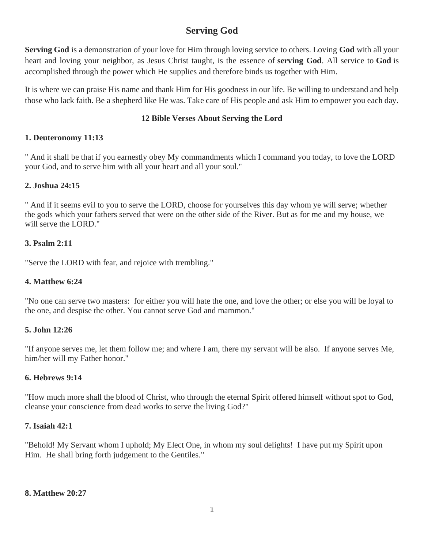# **Serving God**

**Serving God** is a demonstration of your love for Him through loving service to others. Loving **God** with all your heart and loving your neighbor, as Jesus Christ taught, is the essence of **serving God**. All service to **God** is accomplished through the power which He supplies and therefore binds us together with Him.

It is where we can praise His name and thank Him for His goodness in our life. Be willing to understand and help those who lack faith. Be a shepherd like He was. Take care of His people and ask Him to empower you each day.

#### **12 Bible Verses About Serving the Lord**

# **1. Deuteronomy 11:13**

" And it shall be that if you earnestly obey My commandments which I command you today, to love the LORD your God, and to serve him with all your heart and all your soul."

# **2. Joshua 24:15**

" And if it seems evil to you to serve the LORD, choose for yourselves this day whom ye will serve; whether the gods which your fathers served that were on the other side of the River. But as for me and my house, we will serve the LORD."

# **3. Psalm 2:11**

"Serve the LORD with fear, and rejoice with trembling."

#### **4. Matthew 6:24**

"No one can serve two masters: for either you will hate the one, and love the other; or else you will be loyal to the one, and despise the other. You cannot serve God and mammon."

# **5. John 12:26**

"If anyone serves me, let them follow me; and where I am, there my servant will be also. If anyone serves Me, him/her will my Father honor."

#### **6. Hebrews 9:14**

"How much more shall the blood of Christ, who through the eternal Spirit offered himself without spot to God, cleanse your conscience from dead works to serve the living God?"

#### **7. Isaiah 42:1**

"Behold! My Servant whom I uphold; My Elect One, in whom my soul delights! I have put my Spirit upon Him. He shall bring forth judgement to the Gentiles."

#### **8. Matthew 20:27**